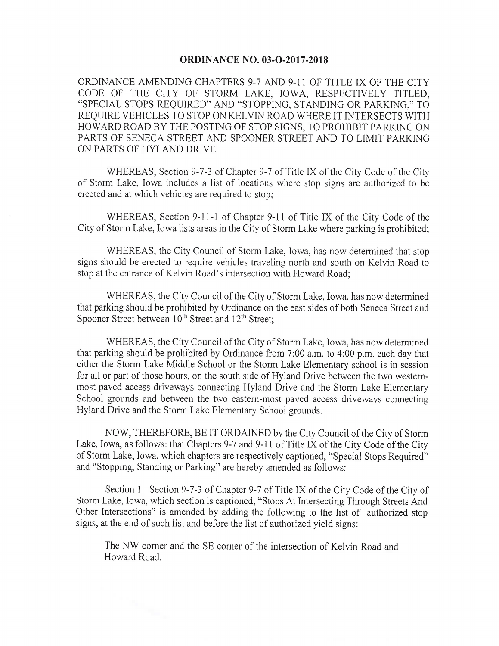## **ORDINANCE NO. 03-O-2017-2018**

ORDINANCE AMENDING CHAPTERS 9-7 AND 9-11 OF TITLE IX OF THE CITY CODE OF THE CITY OF STORM LAKE, IOWA, RESPECTIVELY TITLED, "SPECIAL STOPS REQUIRED" AND "STOPPING, STANDING OR PARKING," TO REQUIRE VEHICLES TO STOP ON KELVIN ROAD WHERE IT INTERSECTS WITH HOWARD ROAD BY THE POSTING OF STOP SIGNS, TO PROHIBIT PARKING ON PARTS OF SENECA STREET AND SPOONER STREET AND TO LIMIT PARKING ON PARTS OF HYLAND DRIVE

WHEREAS, Section 9-7-3 of Chapter 9-7 of Title IX of the City Code of the City of Storm Lake, Iowa includes a list of locations where stop signs are authorized to be erected and at which vehicles are required to stop;

WHEREAS, Section 9-11-1 of Chapter 9-11 of Title IX of the City Code of the City of Storm Lake, Iowa lists areas in the City of Storm Lake where parking is prohibited;

WHEREAS, the City Council of Storm Lake, Iowa, has now determined that stop signs should be erected to require vehicles traveling north and south on Kelvin Road to stop at the entrance of Kelvin Road' s intersection with Howard Road;

WHEREAS, the City Council of the City of Storm Lake, Iowa, has now determined that parking should be prohibited by Ordinance on the east sides of both Seneca Street and Spooner Street between 10<sup>th</sup> Street and 12<sup>th</sup> Street;

WHEREAS, the City Council of the City of Storm Lake, Iowa, has now determined that parking should be prohibited by Ordinance from 7:00 a.m. to 4:00 p.m. each day that either the Storm Lake Middle School or the Storm Lake Elementary school is in session for all or part of those hours, on the south side of Hyland Drive between the two westernmost paved access driveways connecting Hyland Drive and the Storm Lake Elementary School grounds and between the two eastern-most paved access driveways connecting Hyland Drive and the Storm Lake Elementary School grounds.

NOW, THEREFORE, BE IT ORDAINED by the City Council of the City of Storm Lake, Iowa, as follows: that Chapters 9-7 and 9-11 of Title IX of the City Code of the City of Storm Lake, Iowa, which chapters are respectively captioned, " Special Stops Required" and "Stopping, Standing or Parking" are hereby amended as follows:

Section 1. Section 9-7-3 of Chapter 9-7 of Title IX of the City Code of the City of Storm Lake, Iowa, which section is captioned, " Stops At Intersecting Through Streets And Other Intersections" is amended by adding the following to the list of authorized stop signs, at the end of such list and before the list of authorized yield signs:

The NW corner and the SE corner of the intersection of Kelvin Road and Howard Road.